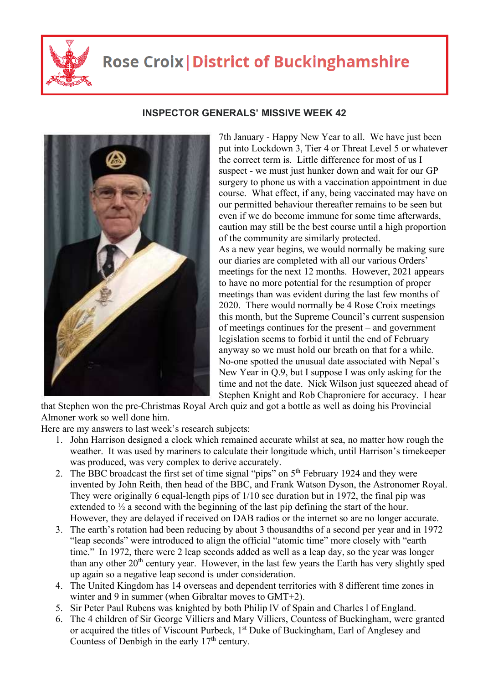

## **Rose Croix | District of Buckinghamshire**



## **INSPECTOR GENERALS' MISSIVE WEEK 42**

7th January - Happy New Year to all. We have just been put into Lockdown 3, Tier 4 or Threat Level 5 or whatever the correct term is. Little difference for most of us I suspect - we must just hunker down and wait for our GP surgery to phone us with a vaccination appointment in due course. What effect, if any, being vaccinated may have on our permitted behaviour thereafter remains to be seen but even if we do become immune for some time afterwards, caution may still be the best course until a high proportion of the community are similarly protected. As a new year begins, we would normally be making sure our diaries are completed with all our various Orders' meetings for the next 12 months. However, 2021 appears to have no more potential for the resumption of proper meetings than was evident during the last few months of 2020. There would normally be 4 Rose Croix meetings this month, but the Supreme Council's current suspension of meetings continues for the present – and government legislation seems to forbid it until the end of February anyway so we must hold our breath on that for a while. No-one spotted the unusual date associated with Nepal's New Year in Q.9, but I suppose I was only asking for the time and not the date. Nick Wilson just squeezed ahead of Stephen Knight and Rob Chaproniere for accuracy. I hear

that Stephen won the pre-Christmas Royal Arch quiz and got a bottle as well as doing his Provincial Almoner work so well done him.

Here are my answers to last week's research subjects:

- 1. John Harrison designed a clock which remained accurate whilst at sea, no matter how rough the weather. It was used by mariners to calculate their longitude which, until Harrison's timekeeper was produced, was very complex to derive accurately.
- 2. The BBC broadcast the first set of time signal "pips" on 5<sup>th</sup> February 1924 and they were invented by John Reith, then head of the BBC, and Frank Watson Dyson, the Astronomer Royal. They were originally 6 equal-length pips of 1/10 sec duration but in 1972, the final pip was extended to  $\frac{1}{2}$  a second with the beginning of the last pip defining the start of the hour. However, they are delayed if received on DAB radios or the internet so are no longer accurate.
- 3. The earth's rotation had been reducing by about 3 thousandths of a second per year and in 1972 "leap seconds" were introduced to align the official "atomic time" more closely with "earth time." In 1972, there were 2 leap seconds added as well as a leap day, so the year was longer than any other  $20<sup>th</sup>$  century year. However, in the last few years the Earth has very slightly sped up again so a negative leap second is under consideration.
- 4. The United Kingdom has 14 overseas and dependent territories with 8 different time zones in winter and 9 in summer (when Gibraltar moves to GMT+2).
- 5. Sir Peter Paul Rubens was knighted by both Philip lV of Spain and Charles l of England.
- 6. The 4 children of Sir George Villiers and Mary Villiers, Countess of Buckingham, were granted or acquired the titles of Viscount Purbeck, 1<sup>st</sup> Duke of Buckingham, Earl of Anglesey and Countess of Denbigh in the early  $17<sup>th</sup>$  century.